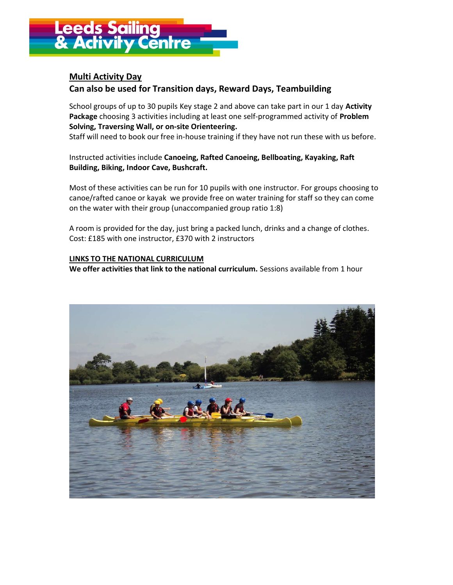

## Multi Activity Day Can also be used for Transition days, Reward Days, Teambuilding

School groups of up to 30 pupils Key stage 2 and above can take part in our 1 day Activity Package choosing 3 activities including at least one self-programmed activity of Problem Solving, Traversing Wall, or on-site Orienteering.

Staff will need to book our free in-house training if they have not run these with us before.

Instructed activities include Canoeing, Rafted Canoeing, Bellboating, Kayaking, Raft Building, Biking, Indoor Cave, Bushcraft.

Most of these activities can be run for 10 pupils with one instructor. For groups choosing to canoe/rafted canoe or kayak we provide free on water training for staff so they can come on the water with their group (unaccompanied group ratio 1:8)

A room is provided for the day, just bring a packed lunch, drinks and a change of clothes. Cost: £185 with one instructor, £370 with 2 instructors

#### LINKS TO THE NATIONAL CURRICULUM

We offer activities that link to the national curriculum. Sessions available from 1 hour

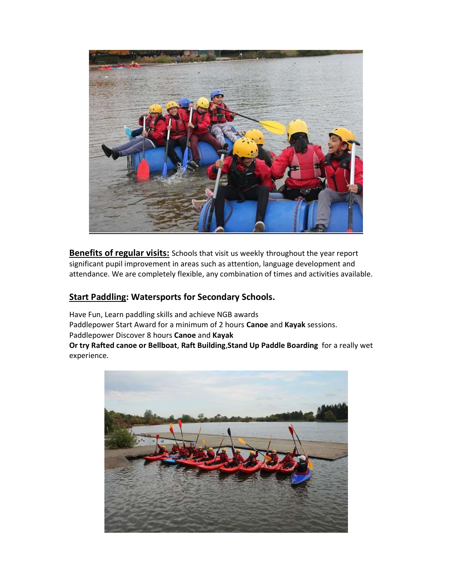

Benefits of regular visits: Schools that visit us weekly throughout the year report significant pupil improvement in areas such as attention, language development and attendance. We are completely flexible, any combination of times and activities available.

# Start Paddling: Watersports for Secondary Schools.

Have Fun, Learn paddling skills and achieve NGB awards Paddlepower Start Award for a minimum of 2 hours Canoe and Kayak sessions. Paddlepower Discover 8 hours Canoe and Kayak Or try Rafted canoe or Bellboat, Raft Building,Stand Up Paddle Boarding for a really wet experience.